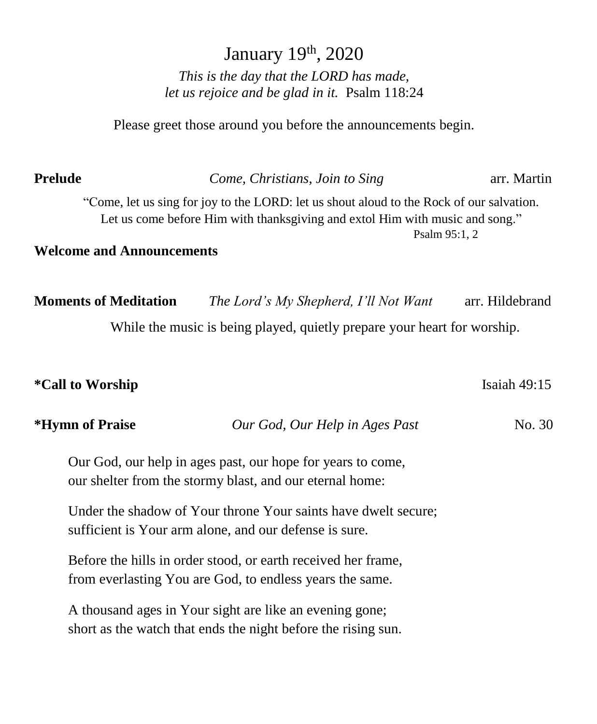# January 19<sup>th</sup>, 2020 *This is the day that the LORD has made, let us rejoice and be glad in it.* Psalm 118:24

Please greet those around you before the announcements begin.

**Prelude** *Come, Christians, Join to Sing* arr. Martin

| rreiuae |                                  | Come, Christians, Join to Sing                                                                                                                                           | arr. Martin     |
|---------|----------------------------------|--------------------------------------------------------------------------------------------------------------------------------------------------------------------------|-----------------|
|         |                                  | "Come, let us sing for joy to the LORD: let us shout aloud to the Rock of our salvation.<br>Let us come before Him with thanksgiving and extol Him with music and song." |                 |
|         |                                  | Psalm 95:1, 2                                                                                                                                                            |                 |
|         | <b>Welcome and Announcements</b> |                                                                                                                                                                          |                 |
|         |                                  |                                                                                                                                                                          |                 |
|         | <b>Moments of Meditation</b>     | The Lord's My Shepherd, I'll Not Want                                                                                                                                    | arr. Hildebrand |
|         |                                  | While the music is being played, quietly prepare your heart for worship.                                                                                                 |                 |
|         |                                  |                                                                                                                                                                          |                 |

|  |  | <i><b>*Call to Worship</b></i> |
|--|--|--------------------------------|
|--|--|--------------------------------|

| <i><b>*Hymn of Praise</b></i> | Our God, Our Help in Ages Past | No. 30 |
|-------------------------------|--------------------------------|--------|
|-------------------------------|--------------------------------|--------|

**Isaiah 49:15** 

Our God, our help in ages past, our hope for years to come, our shelter from the stormy blast, and our eternal home:

Under the shadow of Your throne Your saints have dwelt secure; sufficient is Your arm alone, and our defense is sure.

Before the hills in order stood, or earth received her frame, from everlasting You are God, to endless years the same.

A thousand ages in Your sight are like an evening gone; short as the watch that ends the night before the rising sun.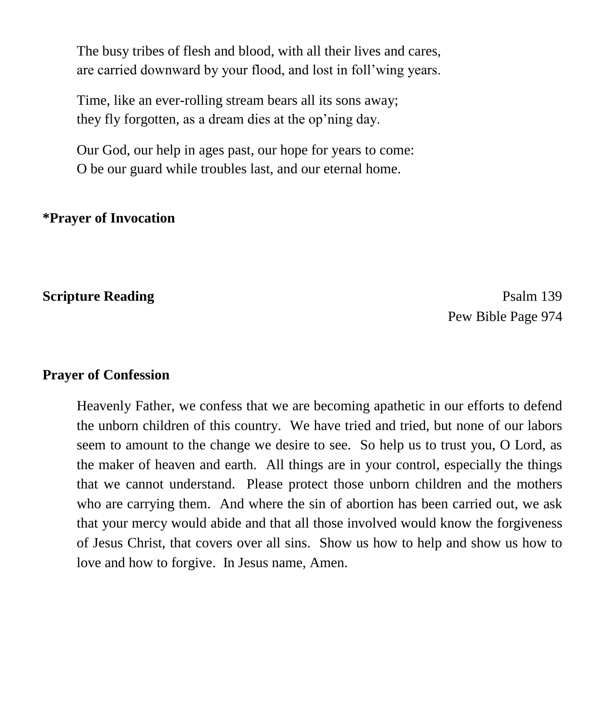The busy tribes of flesh and blood, with all their lives and cares, are carried downward by your flood, and lost in foll'wing years.

Time, like an ever-rolling stream bears all its sons away; they fly forgotten, as a dream dies at the op'ning day.

Our God, our help in ages past, our hope for years to come: O be our guard while troubles last, and our eternal home.

### **\*Prayer of Invocation**

**Scripture Reading** Psalm 139 Pew Bible Page 974

### **Prayer of Confession**

Heavenly Father, we confess that we are becoming apathetic in our efforts to defend the unborn children of this country. We have tried and tried, but none of our labors seem to amount to the change we desire to see. So help us to trust you, O Lord, as the maker of heaven and earth. All things are in your control, especially the things that we cannot understand. Please protect those unborn children and the mothers who are carrying them. And where the sin of abortion has been carried out, we ask that your mercy would abide and that all those involved would know the forgiveness of Jesus Christ, that covers over all sins. Show us how to help and show us how to love and how to forgive. In Jesus name, Amen.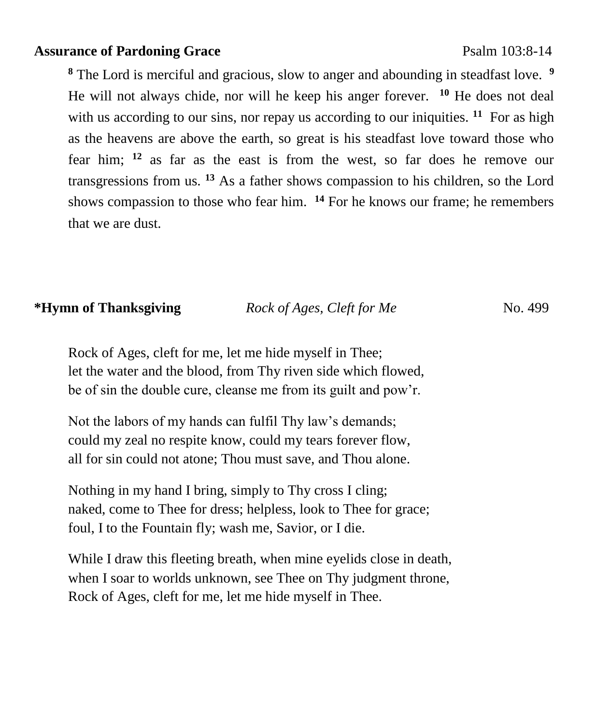### **Assurance of Pardoning Grace** Psalm 103:8-14

**<sup>8</sup>** The Lord is merciful and gracious, slow to anger and abounding in steadfast love. **<sup>9</sup>** He will not always chide, nor will he keep his anger forever. **<sup>10</sup>** He does not deal with us according to our sins, nor repay us according to our iniquities. <sup>11</sup> For as high as the heavens are above the earth, so great is his steadfast love toward those who fear him; **<sup>12</sup>** as far as the east is from the west, so far does he remove our transgressions from us. **<sup>13</sup>** As a father shows compassion to his children, so the Lord shows compassion to those who fear him. **<sup>14</sup>** For he knows our frame; he remembers that we are dust.

## **\*Hymn of Thanksgiving** *Rock of Ages, Cleft for Me* **No. 499**

Rock of Ages, cleft for me, let me hide myself in Thee; let the water and the blood, from Thy riven side which flowed, be of sin the double cure, cleanse me from its guilt and pow'r.

Not the labors of my hands can fulfil Thy law's demands; could my zeal no respite know, could my tears forever flow, all for sin could not atone; Thou must save, and Thou alone.

Nothing in my hand I bring, simply to Thy cross I cling; naked, come to Thee for dress; helpless, look to Thee for grace; foul, I to the Fountain fly; wash me, Savior, or I die.

While I draw this fleeting breath, when mine eyelids close in death, when I soar to worlds unknown, see Thee on Thy judgment throne, Rock of Ages, cleft for me, let me hide myself in Thee.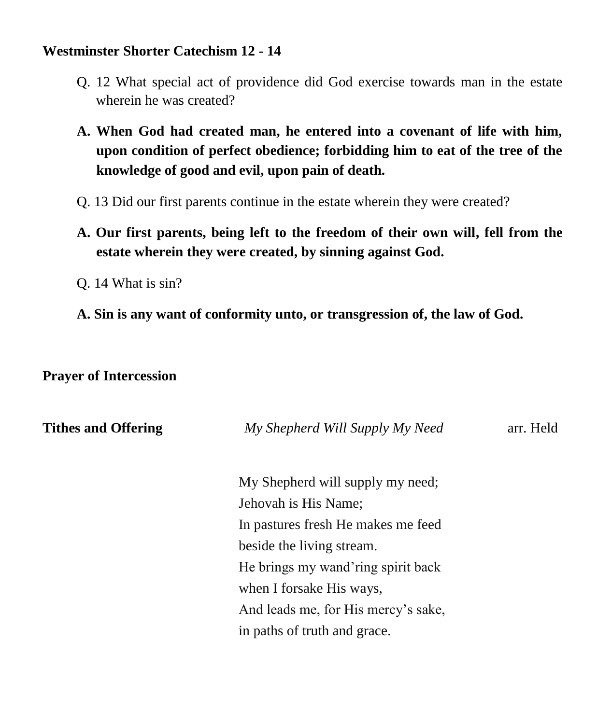## **Westminster Shorter Catechism 12 - 14**

- Q. 12 What special act of providence did God exercise towards man in the estate wherein he was created?
- **A. When God had created man, he entered into a covenant of life with him, upon condition of perfect obedience; forbidding him to eat of the tree of the knowledge of good and evil, upon pain of death.**
- Q. 13 Did our first parents continue in the estate wherein they were created?
- **A. Our first parents, being left to the freedom of their own will, fell from the estate wherein they were created, by sinning against God.**
- Q. 14 What is sin?
- **A. Sin is any want of conformity unto, or transgression of, the law of God.**

## **Prayer of Intercession**

| <b>Tithes and Offering</b> | My Shepherd Will Supply My Need     | arr. Held |
|----------------------------|-------------------------------------|-----------|
|                            | My Shepherd will supply my need;    |           |
|                            | Jehovah is His Name;                |           |
|                            | In pastures fresh He makes me feed  |           |
|                            | beside the living stream.           |           |
|                            | He brings my wand'ring spirit back  |           |
|                            | when I forsake His ways,            |           |
|                            | And leads me, for His mercy's sake, |           |
|                            | in paths of truth and grace.        |           |
|                            |                                     |           |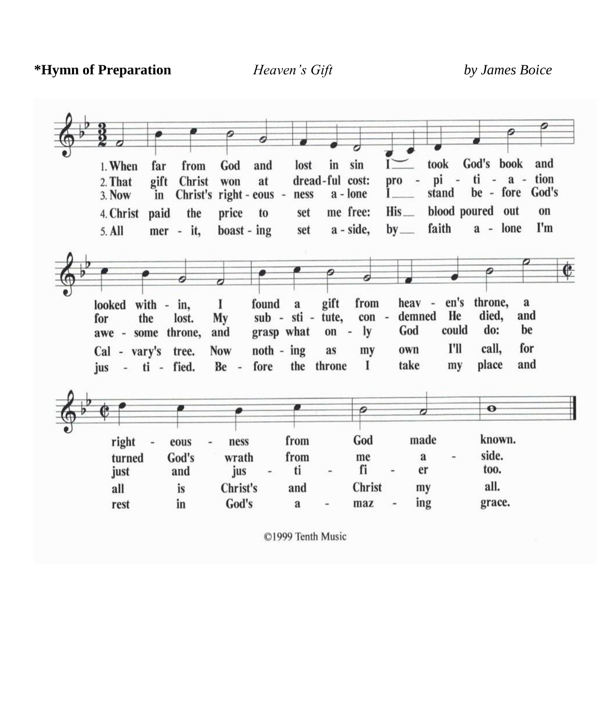**\*Hymn of Preparation** *Heaven's Gift by James Boice*

| 1. When            | far      | from                    | God                  | and   | lost              | in              | sin         |                   | took                 |                          | God's book       | and             |
|--------------------|----------|-------------------------|----------------------|-------|-------------------|-----------------|-------------|-------------------|----------------------|--------------------------|------------------|-----------------|
| 2. That            | gift     | Christ                  | won                  | at    |                   | dread-ful cost: |             | pro               | pi<br>$\blacksquare$ | $\overline{\phantom{a}}$ | $ti - a - tion$  |                 |
| 3. Now             | in       | Christ's right - eous - |                      |       | ness              |                 | a - lone    |                   | stand                |                          |                  | be - fore God's |
| 4. Christ          |          | paid the                | price                | to    | set               |                 | me free:    | His               |                      |                          | blood poured out | on              |
| 5. All             |          | mer - it,               | $\text{boost}$ - ing |       | set               |                 | a - side,   | $by$ <sub>—</sub> | faith                |                          | a - lone         | I'm             |
|                    |          |                         |                      |       |                   |                 |             |                   |                      |                          |                  |                 |
|                    |          |                         |                      |       |                   |                 |             |                   |                      |                          |                  | e               |
|                    |          |                         |                      |       |                   |                 |             |                   |                      |                          |                  |                 |
| looked             | $with -$ | in,                     | 1                    | found | $\mathbf a$       | gift            | from        |                   | heav -               | en's                     | throne,          | a               |
| for                | the      | lost.                   | My                   |       | sub - sti - tute, |                 | con -       |                   | demned               | He<br>could              | died,<br>do:     | and<br>be       |
| awe - some         |          | throne,                 | and                  |       | grasp what        | $on -$          | ly          | God               |                      |                          |                  |                 |
| Cal - vary's tree. |          |                         | <b>Now</b>           |       | $\n  not h - ing$ | as              | my          | own               |                      | I'll                     | call,            | for             |
|                    |          | fied.                   | $Be -$               | fore  |                   | the throne      | $\mathbf I$ | take              |                      | my                       | place            | and             |
| jus<br>- ti -      |          |                         |                      |       |                   |                 |             |                   |                      |                          |                  |                 |
|                    |          |                         |                      |       |                   |                 |             |                   |                      |                          |                  |                 |
|                    |          |                         |                      |       |                   |                 |             |                   | Ò                    |                          | $\bullet$        |                 |
|                    |          |                         |                      |       |                   |                 |             |                   |                      |                          |                  |                 |
| right              |          | eous                    | ness                 |       | from              |                 | God         |                   | made                 |                          | known.           |                 |
| turned             |          | God's                   | wrath                |       | from              |                 | me          |                   | a                    |                          | side.            |                 |
| just               |          | and                     | jus                  |       | ti                |                 | fi          |                   | er                   |                          | too.             |                 |
| all                |          | is                      | Christ's<br>God's    |       | and               |                 | Christ      |                   | my<br>ing            |                          | all.<br>grace.   |                 |

©1999 Tenth Music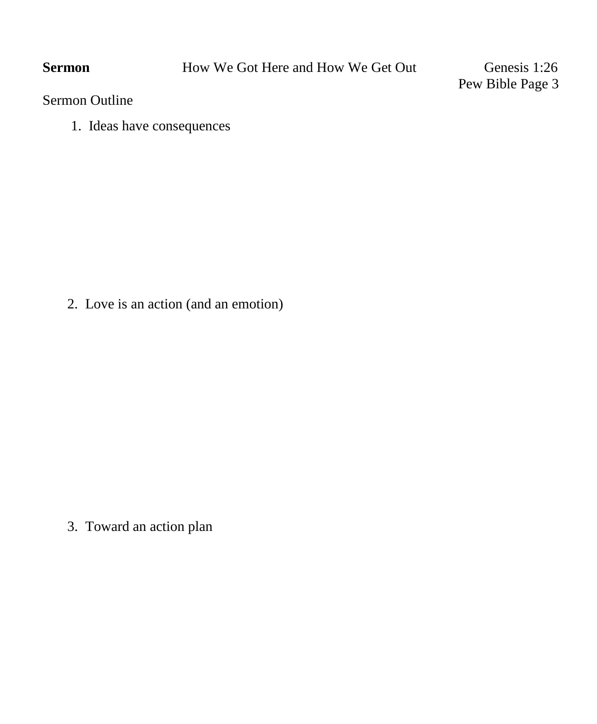Pew Bible Page 3

Sermon Outline

1. Ideas have consequences

2. Love is an action (and an emotion)

3. Toward an action plan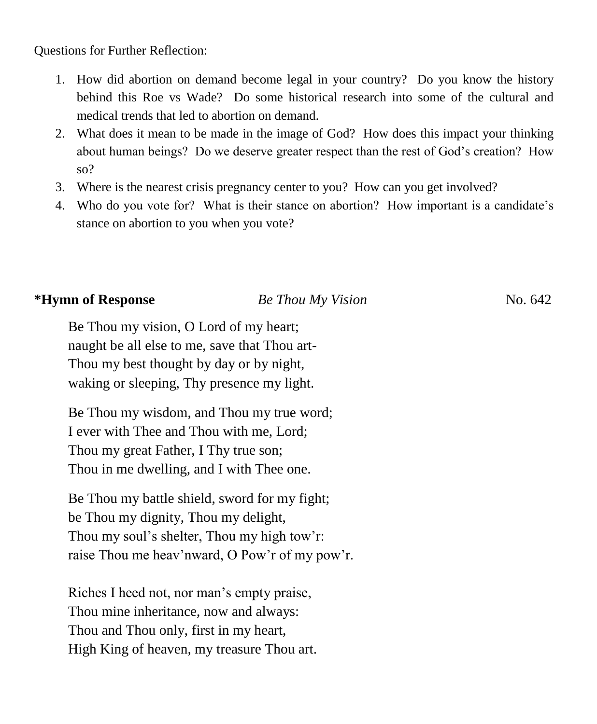Questions for Further Reflection:

- 1. How did abortion on demand become legal in your country? Do you know the history behind this Roe vs Wade? Do some historical research into some of the cultural and medical trends that led to abortion on demand.
- 2. What does it mean to be made in the image of God? How does this impact your thinking about human beings? Do we deserve greater respect than the rest of God's creation? How so?
- 3. Where is the nearest crisis pregnancy center to you? How can you get involved?
- 4. Who do you vote for? What is their stance on abortion? How important is a candidate's stance on abortion to you when you vote?

# **\*Hymn of Response** *Be Thou My Vision* No. 642

Be Thou my vision, O Lord of my heart; naught be all else to me, save that Thou art-Thou my best thought by day or by night, waking or sleeping, Thy presence my light.

Be Thou my wisdom, and Thou my true word; I ever with Thee and Thou with me, Lord; Thou my great Father, I Thy true son; Thou in me dwelling, and I with Thee one.

Be Thou my battle shield, sword for my fight; be Thou my dignity, Thou my delight, Thou my soul's shelter, Thou my high tow'r: raise Thou me heav'nward, O Pow'r of my pow'r.

Riches I heed not, nor man's empty praise, Thou mine inheritance, now and always: Thou and Thou only, first in my heart, High King of heaven, my treasure Thou art.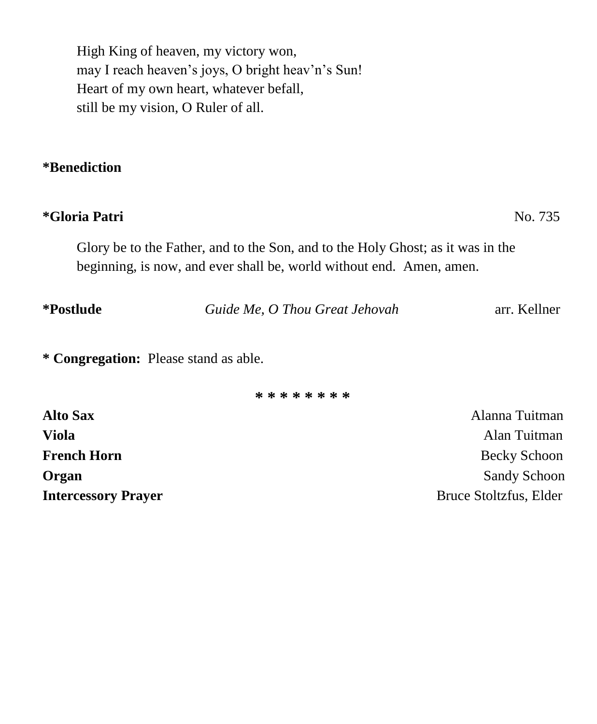High King of heaven, my victory won, may I reach heaven's joys, O bright heav'n's Sun! Heart of my own heart, whatever befall, still be my vision, O Ruler of all.

## **\*Benediction**

# **\*Gloria Patri** No. 735

Glory be to the Father, and to the Son, and to the Holy Ghost; as it was in the beginning, is now, and ever shall be, world without end. Amen, amen.

| *Postlude<br>Guide Me, O Thou Great Jehovah | arr. Kellner |
|---------------------------------------------|--------------|
|---------------------------------------------|--------------|

**\* Congregation:** Please stand as able.

**\* \* \* \* \* \* \* \***

| <b>Alto Sax</b>            | Alanna Tuitman         |
|----------------------------|------------------------|
| <b>Viola</b>               | Alan Tuitman           |
| <b>French Horn</b>         | Becky Schoon           |
| Organ                      | <b>Sandy Schoon</b>    |
| <b>Intercessory Prayer</b> | Bruce Stoltzfus, Elder |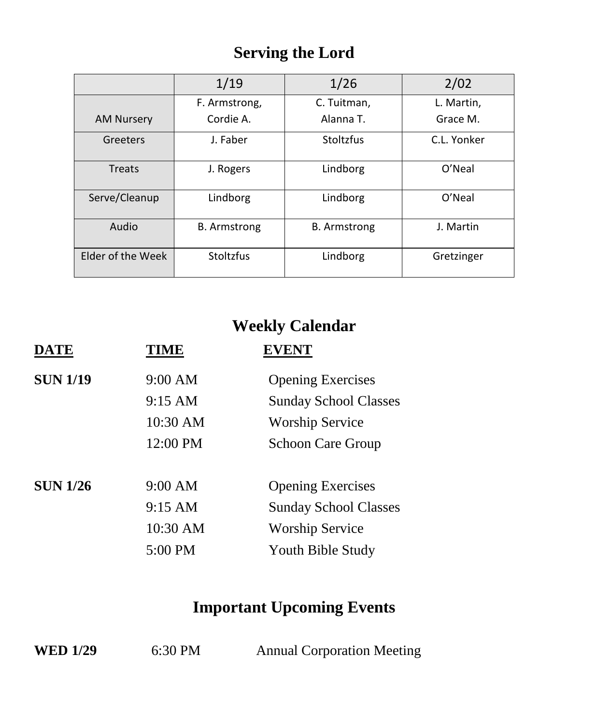# **Serving the Lord**

|                   | 1/19                | 1/26                | 2/02        |
|-------------------|---------------------|---------------------|-------------|
|                   | F. Armstrong,       | C. Tuitman,         | L. Martin,  |
| <b>AM Nursery</b> | Cordie A.           | Alanna T.           | Grace M.    |
| Greeters          | J. Faber            | Stoltzfus           | C.L. Yonker |
| Treats            | J. Rogers           | Lindborg            | O'Neal      |
| Serve/Cleanup     | Lindborg            | Lindborg            | O'Neal      |
| Audio             | <b>B.</b> Armstrong | <b>B.</b> Armstrong | J. Martin   |
| Elder of the Week | <b>Stoltzfus</b>    | Lindborg            | Gretzinger  |

# **Weekly Calendar**

| <b>DATE</b>     | TIME              | <b>EVENT</b>                 |
|-----------------|-------------------|------------------------------|
| <b>SUN 1/19</b> | 9:00 AM           | <b>Opening Exercises</b>     |
|                 | 9:15 AM           | <b>Sunday School Classes</b> |
|                 | 10:30 AM          | <b>Worship Service</b>       |
|                 | 12:00 PM          | <b>Schoon Care Group</b>     |
| <b>SUN 1/26</b> | 9:00 AM           | <b>Opening Exercises</b>     |
|                 | $9:15 \text{ AM}$ | <b>Sunday School Classes</b> |
|                 | 10:30 AM          | <b>Worship Service</b>       |
|                 | 5:00 PM           | Youth Bible Study            |

# **Important Upcoming Events**

| <b>WED 1/29</b> | 6:30 PM |  | <b>Annual Corporation Meeting</b> |  |
|-----------------|---------|--|-----------------------------------|--|
|-----------------|---------|--|-----------------------------------|--|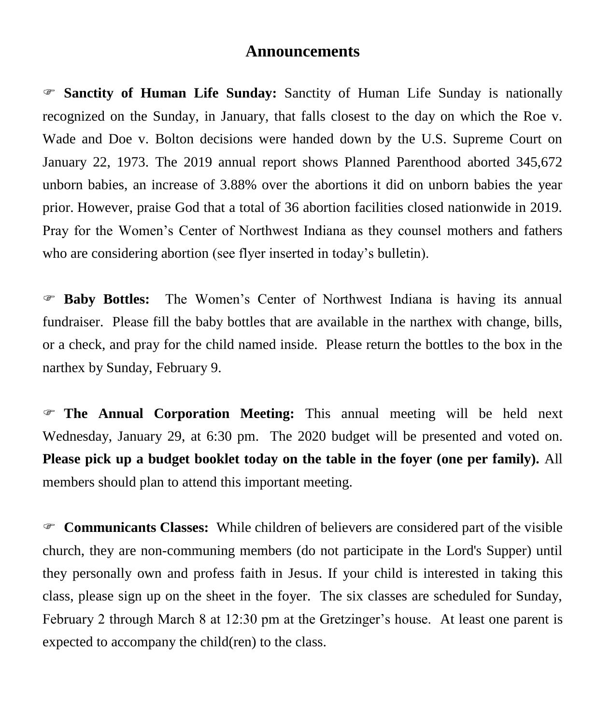### **Announcements**

 **Sanctity of Human Life Sunday:** Sanctity of Human Life Sunday is nationally recognized on the Sunday, in January, that falls closest to the day on which the Roe v. Wade and Doe v. Bolton decisions were handed down by the U.S. Supreme Court on January 22, 1973. The 2019 annual report shows Planned Parenthood aborted 345,672 unborn babies, an increase of 3.88% over the abortions it did on unborn babies the year prior. However, praise God that a total of 36 abortion facilities closed nationwide in 2019. Pray for the Women's Center of Northwest Indiana as they counsel mothers and fathers who are considering abortion (see flyer inserted in today's bulletin).

 **Baby Bottles:** The Women's Center of Northwest Indiana is having its annual fundraiser. Please fill the baby bottles that are available in the narthex with change, bills, or a check, and pray for the child named inside. Please return the bottles to the box in the narthex by Sunday, February 9.

 **The Annual Corporation Meeting:** This annual meeting will be held next Wednesday, January 29, at 6:30 pm. The 2020 budget will be presented and voted on. **Please pick up a budget booklet today on the table in the foyer (one per family).** All members should plan to attend this important meeting.

 **Communicants Classes:** While children of believers are considered part of the visible church, they are non-communing members (do not participate in the Lord's Supper) until they personally own and profess faith in Jesus. If your child is interested in taking this class, please sign up on the sheet in the foyer. The six classes are scheduled for Sunday, February 2 through March 8 at 12:30 pm at the Gretzinger's house. At least one parent is expected to accompany the child(ren) to the class.